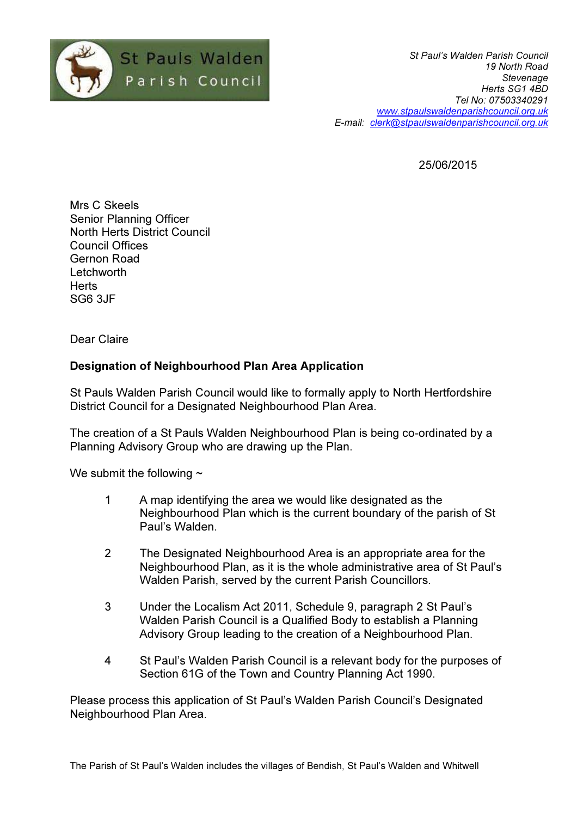

St Paul's Walden Parish Council 19 North Road Stevenage Herts SG1 4BD Tel No: 07503340291 www.stpaulswaldenparishcouncil.org.uk E-mail: clerk@stpaulswaldenparishcouncil.org.uk

25/06/2015

Mrs C Skeels Senior Planning Officer North Herts District Council Council Offices Gernon Road Letchworth **Herts** SG6 3JF

Dear Claire

## Designation of Neighbourhood Plan Area Application

St Pauls Walden Parish Council would like to formally apply to North Hertfordshire District Council for a Designated Neighbourhood Plan Area.

The creation of a St Pauls Walden Neighbourhood Plan is being co-ordinated by a Planning Advisory Group who are drawing up the Plan.

We submit the following  $\sim$ 

- 1 A map identifying the area we would like designated as the Neighbourhood Plan which is the current boundary of the parish of St Paul's Walden.
- 2 The Designated Neighbourhood Area is an appropriate area for the Neighbourhood Plan, as it is the whole administrative area of St Paul's Walden Parish, served by the current Parish Councillors.
- 3 Under the Localism Act 2011, Schedule 9, paragraph 2 St Paul's Walden Parish Council is a Qualified Body to establish a Planning Advisory Group leading to the creation of a Neighbourhood Plan.
- 4 St Paul's Walden Parish Council is a relevant body for the purposes of Section 61G of the Town and Country Planning Act 1990.

Please process this application of St Paul's Walden Parish Council's Designated Neighbourhood Plan Area.